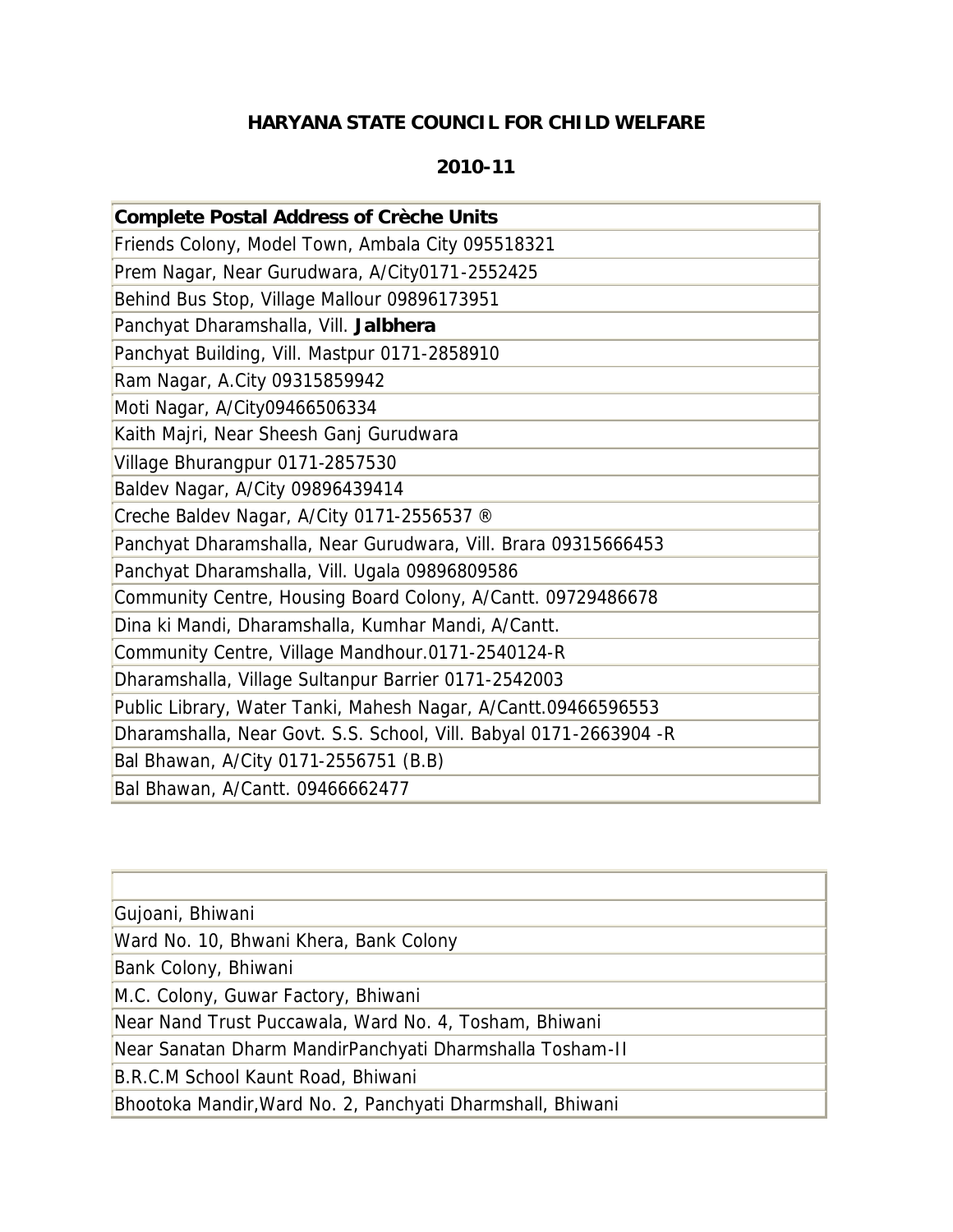## **HARYANA STATE COUNCIL FOR CHILD WELFARE**

## **2010-11**

| <b>Complete Postal Address of Crèche Units</b>                     |
|--------------------------------------------------------------------|
| Friends Colony, Model Town, Ambala City 095518321                  |
| Prem Nagar, Near Gurudwara, A/City0171-2552425                     |
| Behind Bus Stop, Village Mallour 09896173951                       |
| Panchyat Dharamshalla, Vill. Jalbhera                              |
| Panchyat Building, Vill. Mastpur 0171-2858910                      |
| Ram Nagar, A.City 09315859942                                      |
| Moti Nagar, A/City09466506334                                      |
| Kaith Majri, Near Sheesh Ganj Gurudwara                            |
| Village Bhurangpur 0171-2857530                                    |
| Baldev Nagar, A/City 09896439414                                   |
| Creche Baldev Nagar, A/City 0171-2556537 ®                         |
| Panchyat Dharamshalla, Near Gurudwara, Vill. Brara 09315666453     |
| Panchyat Dharamshalla, Vill. Ugala 09896809586                     |
| Community Centre, Housing Board Colony, A/Cantt. 09729486678       |
| Dina ki Mandi, Dharamshalla, Kumhar Mandi, A/Cantt.                |
| Community Centre, Village Mandhour.0171-2540124-R                  |
| Dharamshalla, Village Sultanpur Barrier 0171-2542003               |
| Public Library, Water Tanki, Mahesh Nagar, A/Cantt.09466596553     |
| Dharamshalla, Near Govt. S.S. School, Vill. Babyal 0171-2663904 -R |
| Bal Bhawan, A/City 0171-2556751 (B.B)                              |
| Bal Bhawan, A/Cantt. 09466662477                                   |

| Gujoani, Bhiwani                                           |
|------------------------------------------------------------|
| Ward No. 10, Bhwani Khera, Bank Colony                     |
| Bank Colony, Bhiwani                                       |
| M.C. Colony, Guwar Factory, Bhiwani                        |
| Near Nand Trust Puccawala, Ward No. 4, Tosham, Bhiwani     |
| Near Sanatan Dharm MandirPanchyati Dharmshalla Tosham-II   |
| B.R.C.M School Kaunt Road, Bhiwani                         |
| Bhootoka Mandir, Ward No. 2, Panchyati Dharmshall, Bhiwani |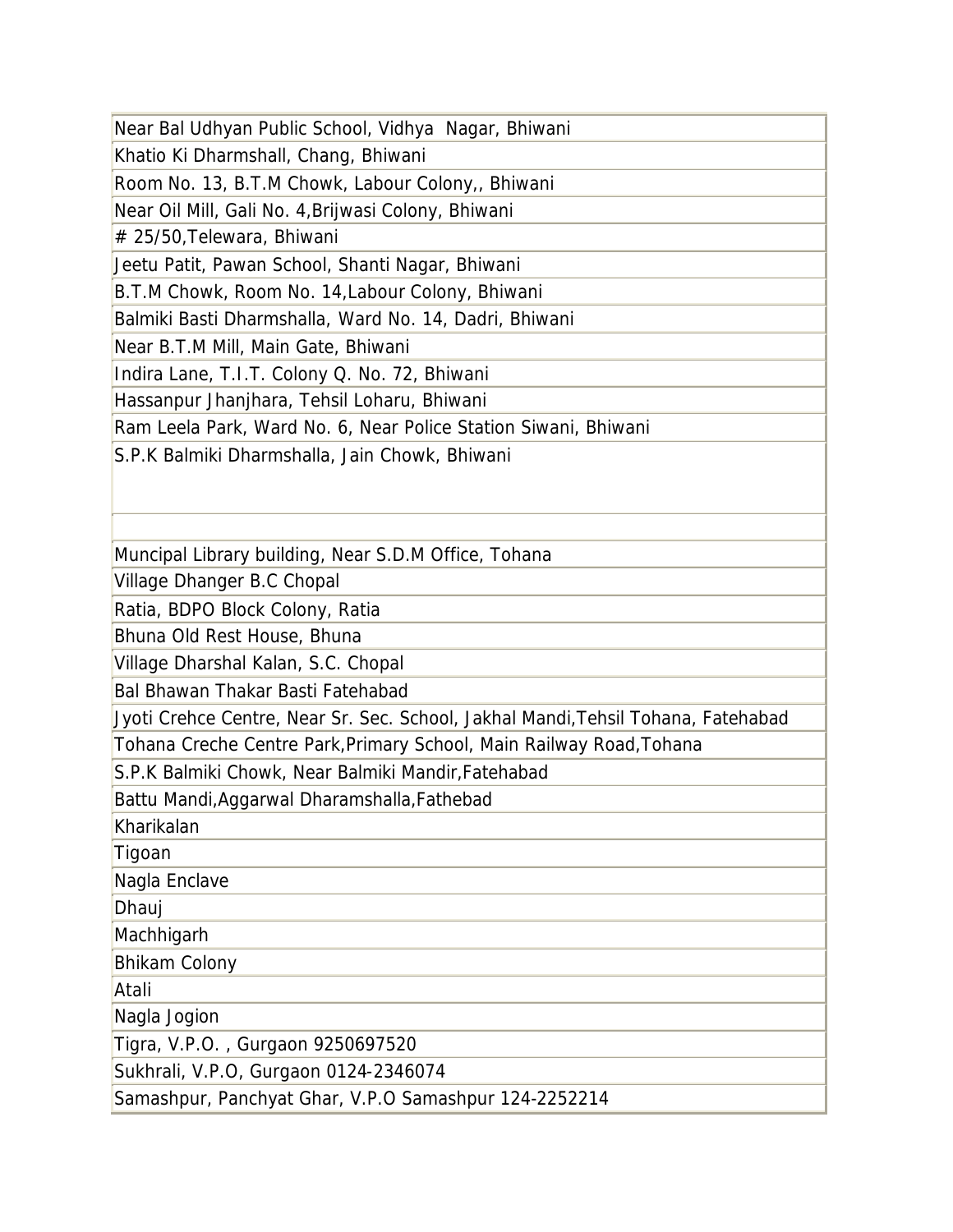Near Bal Udhyan Public School, Vidhya Nagar, Bhiwani

Khatio Ki Dharmshall, Chang, Bhiwani

Room No. 13, B.T.M Chowk, Labour Colony,, Bhiwani

Near Oil Mill, Gali No. 4,Brijwasi Colony, Bhiwani

# 25/50,Telewara, Bhiwani

Jeetu Patit, Pawan School, Shanti Nagar, Bhiwani

B.T.M Chowk, Room No. 14,Labour Colony, Bhiwani

Balmiki Basti Dharmshalla, Ward No. 14, Dadri, Bhiwani

Near B.T.M Mill, Main Gate, Bhiwani

Indira Lane, T.I.T. Colony Q. No. 72, Bhiwani

Hassanpur Jhanjhara, Tehsil Loharu, Bhiwani

Ram Leela Park, Ward No. 6, Near Police Station Siwani, Bhiwani

S.P.K Balmiki Dharmshalla, Jain Chowk, Bhiwani

Muncipal Library building, Near S.D.M Office, Tohana

Village Dhanger B.C Chopal

Ratia, BDPO Block Colony, Ratia

Bhuna Old Rest House, Bhuna

Village Dharshal Kalan, S.C. Chopal

Bal Bhawan Thakar Basti Fatehabad

Jyoti Crehce Centre, Near Sr. Sec. School, Jakhal Mandi,Tehsil Tohana, Fatehabad

Tohana Creche Centre Park,Primary School, Main Railway Road,Tohana

S.P.K Balmiki Chowk, Near Balmiki Mandir,Fatehabad

Battu Mandi,Aggarwal Dharamshalla,Fathebad

Kharikalan

Tigoan

Nagla Enclave

Dhauj

**Machhigarh** 

Bhikam Colony

Atali

Nagla Jogion

Tigra, V.P.O. , Gurgaon 9250697520

Sukhrali, V.P.O, Gurgaon 0124-2346074

Samashpur, Panchyat Ghar, V.P.O Samashpur 124-2252214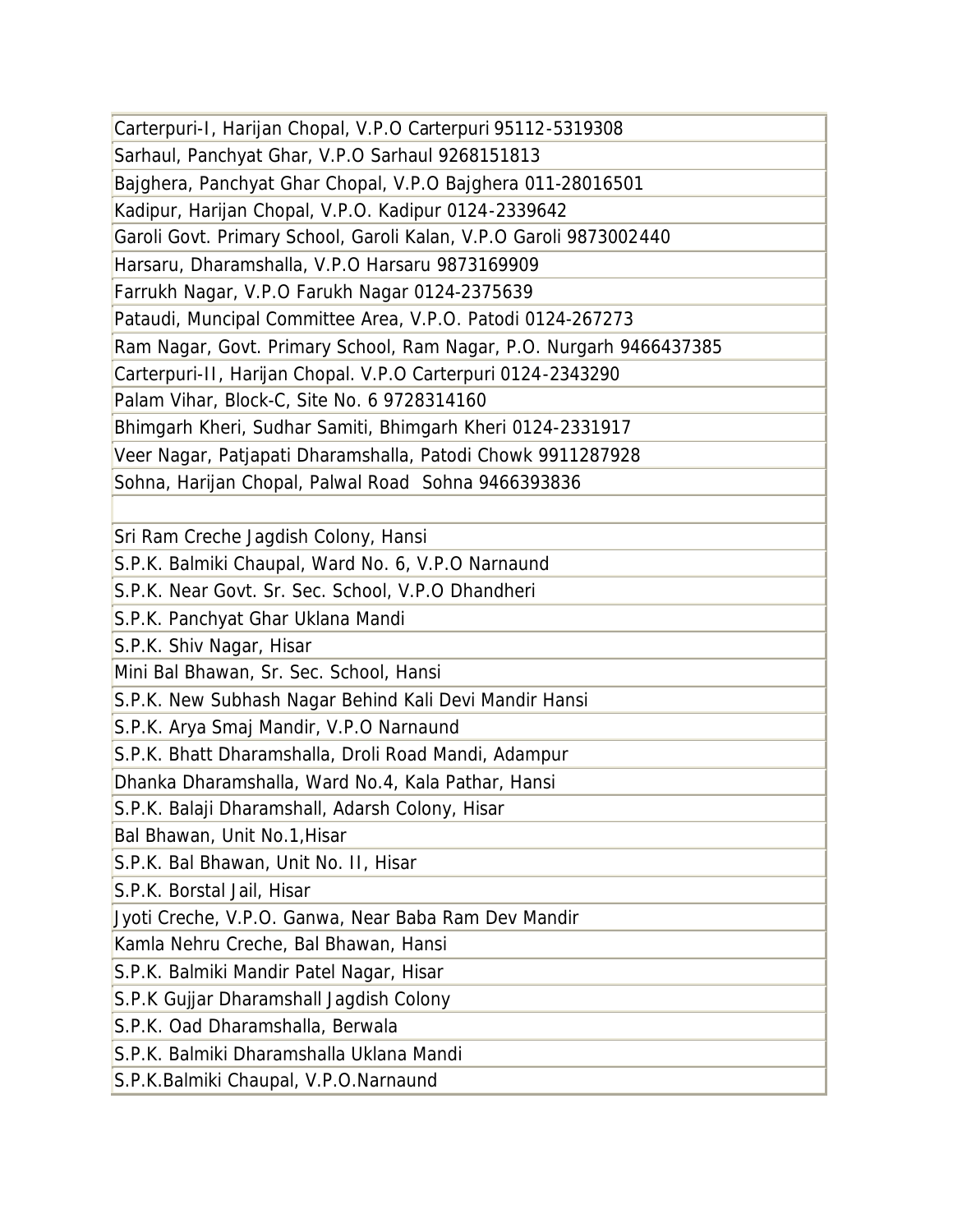Carterpuri-I, Harijan Chopal, V.P.O Carterpuri 95112-5319308 Sarhaul, Panchyat Ghar, V.P.O Sarhaul 9268151813 Bajghera, Panchyat Ghar Chopal, V.P.O Bajghera 011-28016501 Kadipur, Harijan Chopal, V.P.O. Kadipur 0124-2339642 Garoli Govt. Primary School, Garoli Kalan, V.P.O Garoli 9873002440 Harsaru, Dharamshalla, V.P.O Harsaru 9873169909 Farrukh Nagar, V.P.O Farukh Nagar 0124-2375639 Pataudi, Muncipal Committee Area, V.P.O. Patodi 0124-267273 Ram Nagar, Govt. Primary School, Ram Nagar, P.O. Nurgarh 9466437385 Carterpuri-II, Harijan Chopal. V.P.O Carterpuri 0124-2343290 Palam Vihar, Block-C, Site No. 6 9728314160 Bhimgarh Kheri, Sudhar Samiti, Bhimgarh Kheri 0124-2331917 Veer Nagar, Patjapati Dharamshalla, Patodi Chowk 9911287928 Sohna, Harijan Chopal, Palwal Road Sohna 9466393836 Sri Ram Creche Jagdish Colony, Hansi S.P.K. Balmiki Chaupal, Ward No. 6, V.P.O Narnaund S.P.K. Near Govt. Sr. Sec. School, V.P.O Dhandheri S.P.K. Panchyat Ghar Uklana Mandi S.P.K. Shiv Nagar, Hisar Mini Bal Bhawan, Sr. Sec. School, Hansi S.P.K. New Subhash Nagar Behind Kali Devi Mandir Hansi S.P.K. Arya Smaj Mandir, V.P.O Narnaund S.P.K. Bhatt Dharamshalla, Droli Road Mandi, Adampur Dhanka Dharamshalla, Ward No.4, Kala Pathar, Hansi S.P.K. Balaji Dharamshall, Adarsh Colony, Hisar Bal Bhawan, Unit No.1,Hisar S.P.K. Bal Bhawan, Unit No. II, Hisar S.P.K. Borstal Jail, Hisar Jyoti Creche, V.P.O. Ganwa, Near Baba Ram Dev Mandir Kamla Nehru Creche, Bal Bhawan, Hansi S.P.K. Balmiki Mandir Patel Nagar, Hisar S.P.K Gujjar Dharamshall Jagdish Colony S.P.K. Oad Dharamshalla, Berwala S.P.K. Balmiki Dharamshalla Uklana Mandi S.P.K.Balmiki Chaupal, V.P.O.Narnaund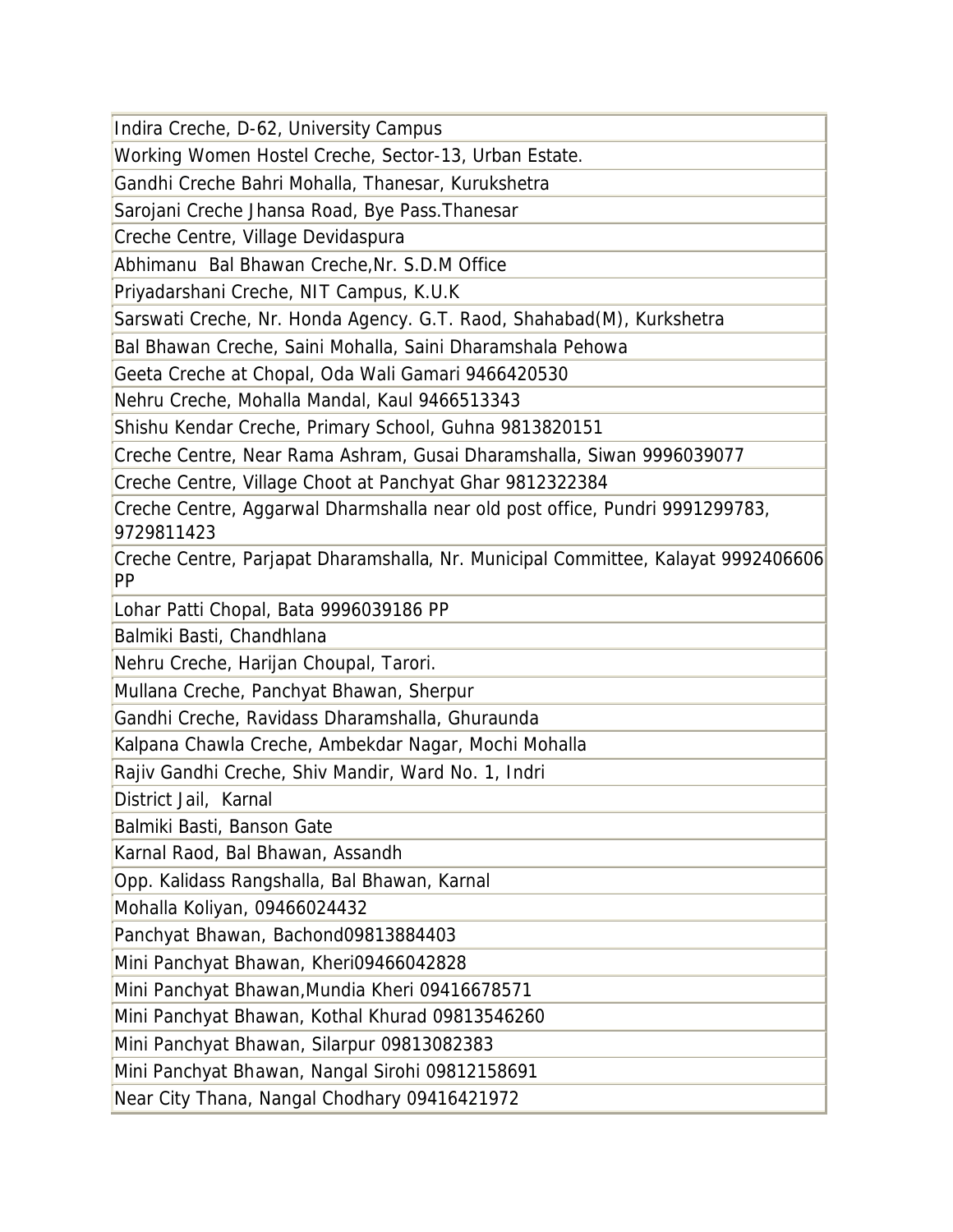Indira Creche, D-62, University Campus

Working Women Hostel Creche, Sector-13, Urban Estate.

Gandhi Creche Bahri Mohalla, Thanesar, Kurukshetra

Sarojani Creche Jhansa Road, Bye Pass.Thanesar

Creche Centre, Village Devidaspura

Abhimanu Bal Bhawan Creche,Nr. S.D.M Office

Priyadarshani Creche, NIT Campus, K.U.K

Sarswati Creche, Nr. Honda Agency. G.T. Raod, Shahabad(M), Kurkshetra

Bal Bhawan Creche, Saini Mohalla, Saini Dharamshala Pehowa

Geeta Creche at Chopal, Oda Wali Gamari 9466420530

Nehru Creche, Mohalla Mandal, Kaul 9466513343

Shishu Kendar Creche, Primary School, Guhna 9813820151

Creche Centre, Near Rama Ashram, Gusai Dharamshalla, Siwan 9996039077

Creche Centre, Village Choot at Panchyat Ghar 9812322384

Creche Centre, Aggarwal Dharmshalla near old post office, Pundri 9991299783, 9729811423

Creche Centre, Parjapat Dharamshalla, Nr. Municipal Committee, Kalayat 9992406606 PP

Lohar Patti Chopal, Bata 9996039186 PP

Balmiki Basti, Chandhlana

Nehru Creche, Harijan Choupal, Tarori.

Mullana Creche, Panchyat Bhawan, Sherpur

Gandhi Creche, Ravidass Dharamshalla, Ghuraunda

Kalpana Chawla Creche, Ambekdar Nagar, Mochi Mohalla

Rajiv Gandhi Creche, Shiv Mandir, Ward No. 1, Indri

District Jail, Karnal

Balmiki Basti, Banson Gate

Karnal Raod, Bal Bhawan, Assandh

Opp. Kalidass Rangshalla, Bal Bhawan, Karnal

Mohalla Koliyan, 09466024432

Panchyat Bhawan, Bachond09813884403

Mini Panchyat Bhawan, Kheri09466042828

Mini Panchyat Bhawan,Mundia Kheri 09416678571

Mini Panchyat Bhawan, Kothal Khurad 09813546260

Mini Panchyat Bhawan, Silarpur 09813082383

Mini Panchyat Bhawan, Nangal Sirohi 09812158691

Near City Thana, Nangal Chodhary 09416421972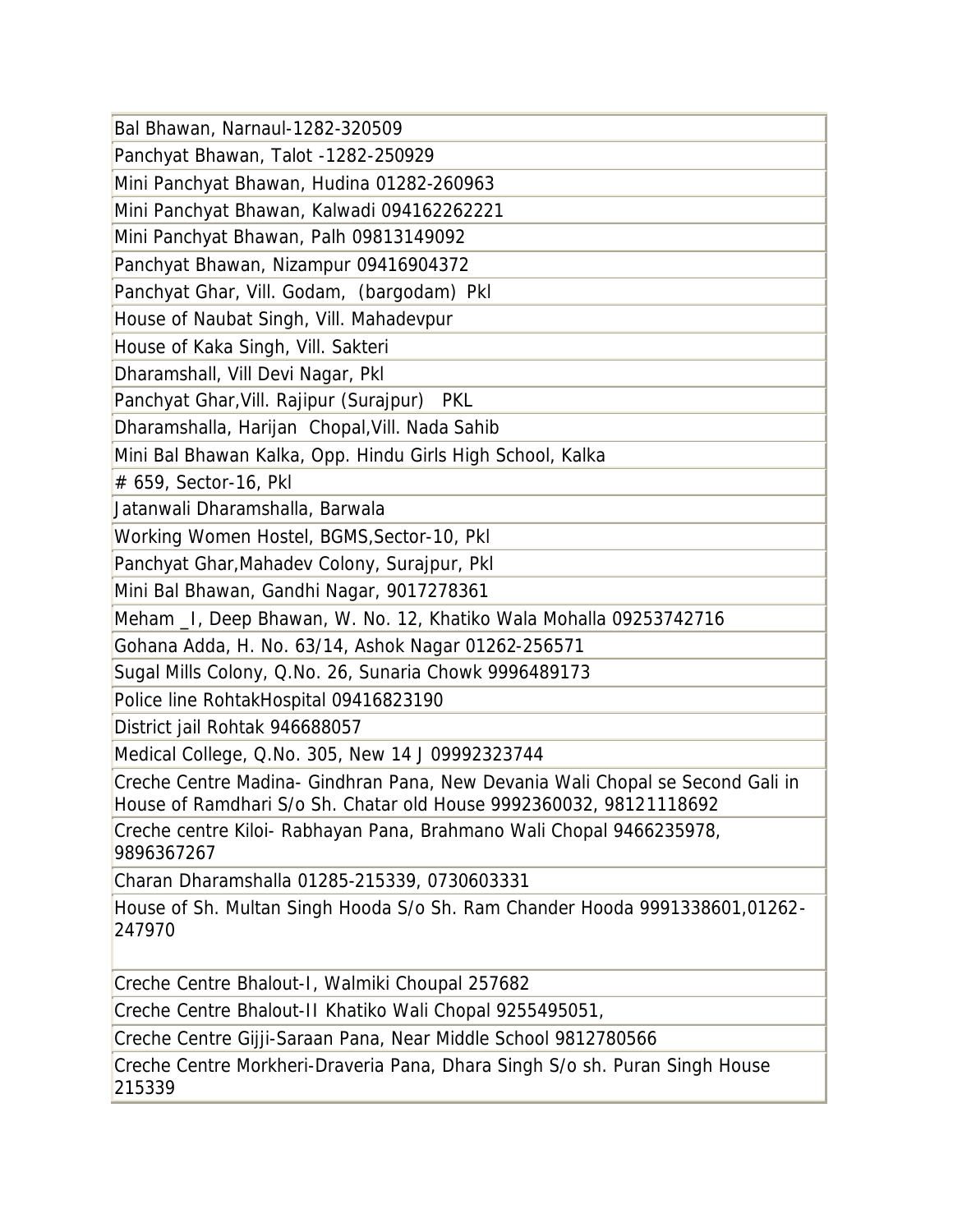| Bal Bhawan, Narnaul-1282-320509                                                                                                                      |
|------------------------------------------------------------------------------------------------------------------------------------------------------|
| Panchyat Bhawan, Talot -1282-250929                                                                                                                  |
| Mini Panchyat Bhawan, Hudina 01282-260963                                                                                                            |
| Mini Panchyat Bhawan, Kalwadi 094162262221                                                                                                           |
| Mini Panchyat Bhawan, Palh 09813149092                                                                                                               |
| Panchyat Bhawan, Nizampur 09416904372                                                                                                                |
| Panchyat Ghar, Vill. Godam, (bargodam) Pkl                                                                                                           |
| House of Naubat Singh, Vill. Mahadevpur                                                                                                              |
| House of Kaka Singh, Vill. Sakteri                                                                                                                   |
| Dharamshall, Vill Devi Nagar, Pkl                                                                                                                    |
| Panchyat Ghar, Vill. Rajipur (Surajpur) PKL                                                                                                          |
| Dharamshalla, Harijan Chopal, Vill. Nada Sahib                                                                                                       |
| Mini Bal Bhawan Kalka, Opp. Hindu Girls High School, Kalka                                                                                           |
| # 659, Sector-16, Pkl                                                                                                                                |
| Jatanwali Dharamshalla, Barwala                                                                                                                      |
| Working Women Hostel, BGMS, Sector-10, PkI                                                                                                           |
| Panchyat Ghar, Mahadev Colony, Surajpur, Pkl                                                                                                         |
| Mini Bal Bhawan, Gandhi Nagar, 9017278361                                                                                                            |
| Meham _I, Deep Bhawan, W. No. 12, Khatiko Wala Mohalla 09253742716                                                                                   |
| Gohana Adda, H. No. 63/14, Ashok Nagar 01262-256571                                                                                                  |
| Sugal Mills Colony, Q.No. 26, Sunaria Chowk 9996489173                                                                                               |
| Police line RohtakHospital 09416823190                                                                                                               |
| District jail Rohtak 946688057                                                                                                                       |
| Medical College, Q.No. 305, New 14 J 09992323744                                                                                                     |
| Creche Centre Madina- Gindhran Pana, New Devania Wali Chopal se Second Gali in<br>House of Ramdhari S/o Sh. Chatar old House 9992360032, 98121118692 |
| Creche centre Kiloi- Rabhayan Pana, Brahmano Wali Chopal 9466235978,<br>9896367267                                                                   |
| Charan Dharamshalla 01285-215339, 0730603331                                                                                                         |
| House of Sh. Multan Singh Hooda S/o Sh. Ram Chander Hooda 9991338601,01262-<br>247970                                                                |
| Creche Centre Bhalout-I, Walmiki Choupal 257682                                                                                                      |
| Creche Centre Bhalout-II Khatiko Wali Chopal 9255495051,                                                                                             |
| Creche Centre Gijji-Saraan Pana, Near Middle School 9812780566                                                                                       |
| Creche Centre Morkheri-Draveria Pana, Dhara Singh S/o sh. Puran Singh House<br>215339                                                                |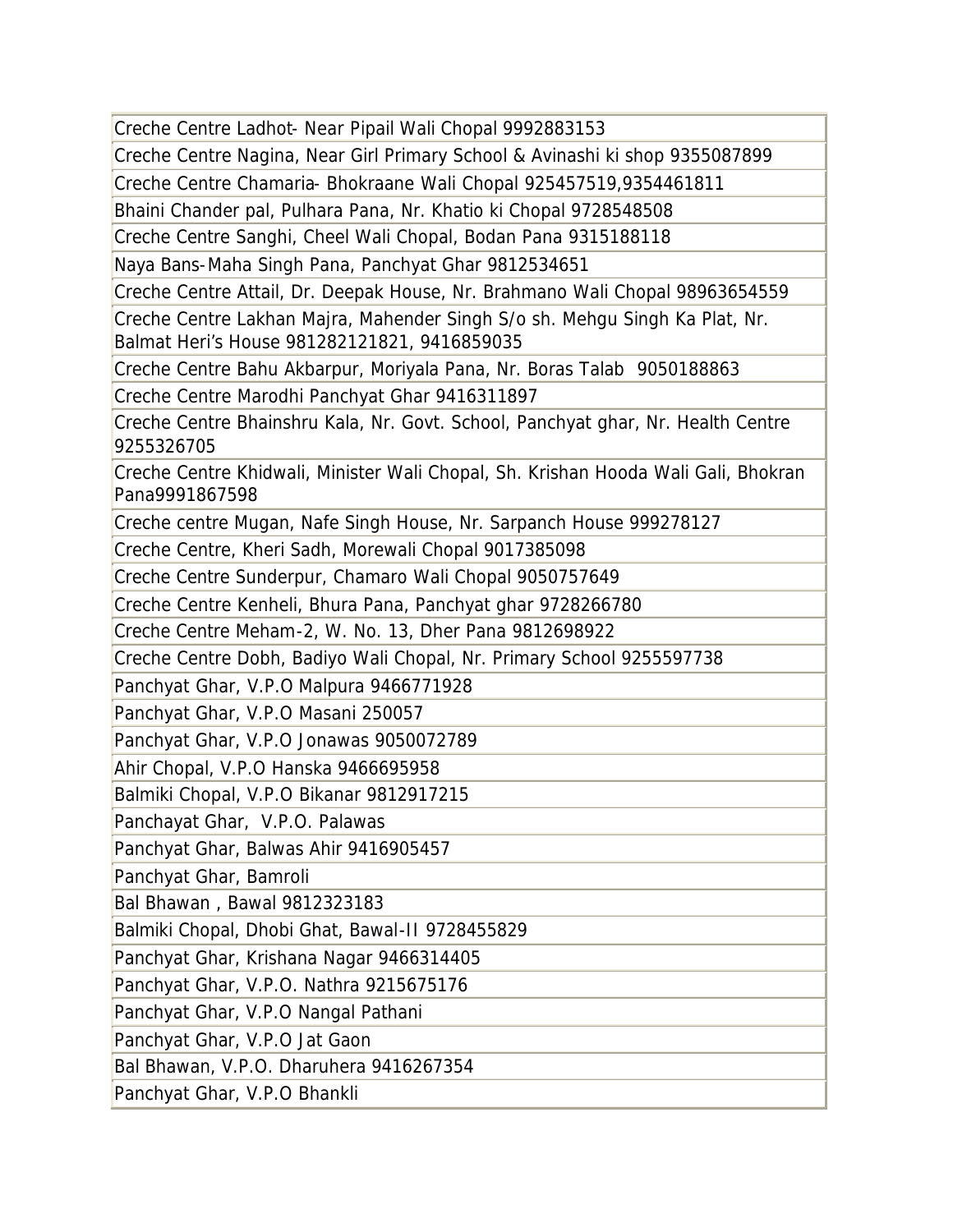Creche Centre Ladhot- Near Pipail Wali Chopal 9992883153

Creche Centre Nagina, Near Girl Primary School & Avinashi ki shop 9355087899

Creche Centre Chamaria- Bhokraane Wali Chopal 925457519,9354461811

Bhaini Chander pal, Pulhara Pana, Nr. Khatio ki Chopal 9728548508

Creche Centre Sanghi, Cheel Wali Chopal, Bodan Pana 9315188118

Naya Bans-Maha Singh Pana, Panchyat Ghar 9812534651

Creche Centre Attail, Dr. Deepak House, Nr. Brahmano Wali Chopal 98963654559

Creche Centre Lakhan Majra, Mahender Singh S/o sh. Mehgu Singh Ka Plat, Nr. Balmat Heri's House 981282121821, 9416859035

Creche Centre Bahu Akbarpur, Moriyala Pana, Nr. Boras Talab 9050188863

Creche Centre Marodhi Panchyat Ghar 9416311897

Creche Centre Bhainshru Kala, Nr. Govt. School, Panchyat ghar, Nr. Health Centre 9255326705

Creche Centre Khidwali, Minister Wali Chopal, Sh. Krishan Hooda Wali Gali, Bhokran Pana9991867598

Creche centre Mugan, Nafe Singh House, Nr. Sarpanch House 999278127

Creche Centre, Kheri Sadh, Morewali Chopal 9017385098

Creche Centre Sunderpur, Chamaro Wali Chopal 9050757649

Creche Centre Kenheli, Bhura Pana, Panchyat ghar 9728266780

Creche Centre Meham-2, W. No. 13, Dher Pana 9812698922

Creche Centre Dobh, Badiyo Wali Chopal, Nr. Primary School 9255597738

Panchyat Ghar, V.P.O Malpura 9466771928

Panchyat Ghar, V.P.O Masani 250057

Panchyat Ghar, V.P.O Jonawas 9050072789

Ahir Chopal, V.P.O Hanska 9466695958

Balmiki Chopal, V.P.O Bikanar 9812917215

Panchayat Ghar, V.P.O. Palawas

Panchyat Ghar, Balwas Ahir 9416905457

Panchyat Ghar, Bamroli

Bal Bhawan , Bawal 9812323183

Balmiki Chopal, Dhobi Ghat, Bawal-II 9728455829

Panchyat Ghar, Krishana Nagar 9466314405

Panchyat Ghar, V.P.O. Nathra 9215675176

Panchyat Ghar, V.P.O Nangal Pathani

Panchyat Ghar, V.P.O Jat Gaon

Bal Bhawan, V.P.O. Dharuhera 9416267354

Panchyat Ghar, V.P.O Bhankli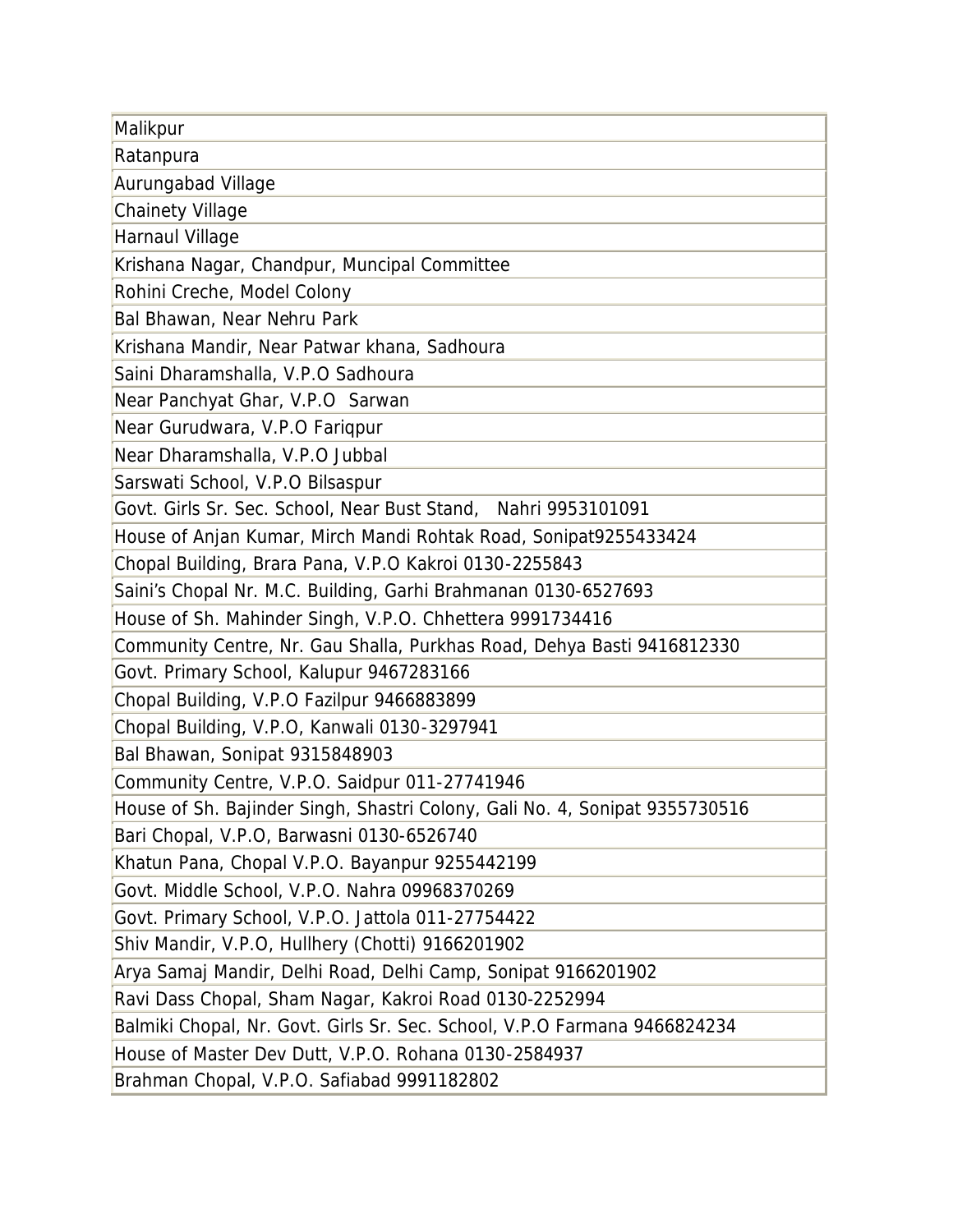| Malikpur                                                                    |
|-----------------------------------------------------------------------------|
| Ratanpura                                                                   |
| Aurungabad Village                                                          |
| <b>Chainety Village</b>                                                     |
| Harnaul Village                                                             |
| Krishana Nagar, Chandpur, Muncipal Committee                                |
| Rohini Creche, Model Colony                                                 |
| Bal Bhawan, Near Nehru Park                                                 |
| Krishana Mandir, Near Patwar khana, Sadhoura                                |
| Saini Dharamshalla, V.P.O Sadhoura                                          |
| Near Panchyat Ghar, V.P.O Sarwan                                            |
| Near Gurudwara, V.P.O Fariqpur                                              |
| Near Dharamshalla, V.P.O Jubbal                                             |
| Sarswati School, V.P.O Bilsaspur                                            |
| Govt. Girls Sr. Sec. School, Near Bust Stand, Nahri 9953101091              |
| House of Anjan Kumar, Mirch Mandi Rohtak Road, Sonipat9255433424            |
| Chopal Building, Brara Pana, V.P.O Kakroi 0130-2255843                      |
| Saini's Chopal Nr. M.C. Building, Garhi Brahmanan 0130-6527693              |
| House of Sh. Mahinder Singh, V.P.O. Chhettera 9991734416                    |
| Community Centre, Nr. Gau Shalla, Purkhas Road, Dehya Basti 9416812330      |
| Govt. Primary School, Kalupur 9467283166                                    |
| Chopal Building, V.P.O Fazilpur 9466883899                                  |
| Chopal Building, V.P.O, Kanwali 0130-3297941                                |
| Bal Bhawan, Sonipat 9315848903                                              |
| Community Centre, V.P.O. Saidpur 011-27741946                               |
| House of Sh. Bajinder Singh, Shastri Colony, Gali No. 4, Sonipat 9355730516 |
| Bari Chopal, V.P.O, Barwasni 0130-6526740                                   |
| Khatun Pana, Chopal V.P.O. Bayanpur 9255442199                              |
| Govt. Middle School, V.P.O. Nahra 09968370269                               |
| Govt. Primary School, V.P.O. Jattola 011-27754422                           |
| Shiv Mandir, V.P.O, Hullhery (Chotti) 9166201902                            |
| Arya Samaj Mandir, Delhi Road, Delhi Camp, Sonipat 9166201902               |
| Ravi Dass Chopal, Sham Nagar, Kakroi Road 0130-2252994                      |
| Balmiki Chopal, Nr. Govt. Girls Sr. Sec. School, V.P.O Farmana 9466824234   |
| House of Master Dev Dutt, V.P.O. Rohana 0130-2584937                        |
| Brahman Chopal, V.P.O. Safiabad 9991182802                                  |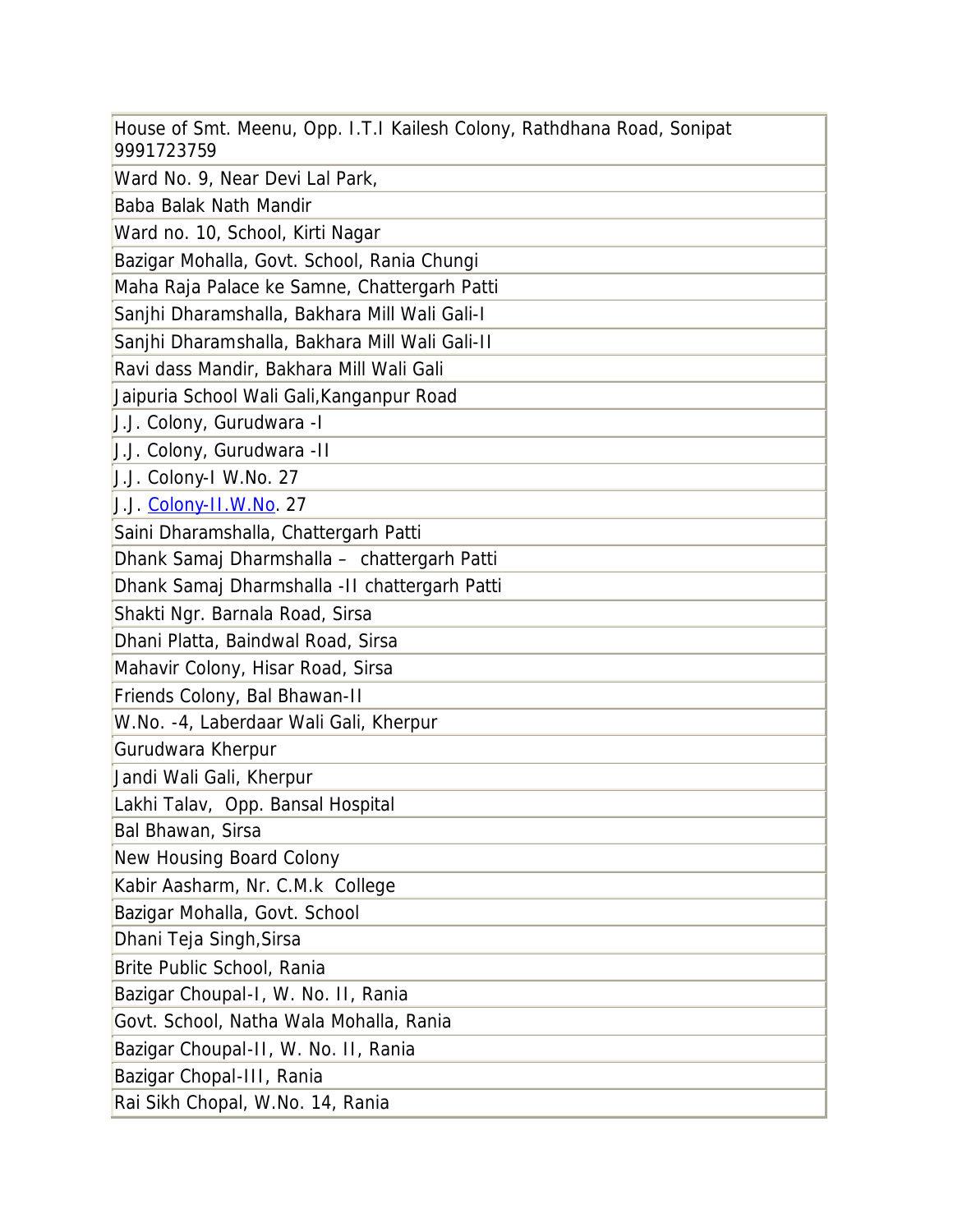| House of Smt. Meenu, Opp. I.T.I Kailesh Colony, Rathdhana Road, Sonipat<br>9991723759 |
|---------------------------------------------------------------------------------------|
| Ward No. 9, Near Devi Lal Park,                                                       |
| Baba Balak Nath Mandir                                                                |
| Ward no. 10, School, Kirti Nagar                                                      |
| Bazigar Mohalla, Govt. School, Rania Chungi                                           |
| Maha Raja Palace ke Samne, Chattergarh Patti                                          |
| Sanjhi Dharamshalla, Bakhara Mill Wali Gali-I                                         |
| Sanjhi Dharamshalla, Bakhara Mill Wali Gali-II                                        |
| Ravi dass Mandir, Bakhara Mill Wali Gali                                              |
| Jaipuria School Wali Gali, Kanganpur Road                                             |
| J.J. Colony, Gurudwara - I                                                            |
| J.J. Colony, Gurudwara - II                                                           |
| J.J. Colony-I W.No. 27                                                                |
| J.J. Colony-II.W.No. 27                                                               |
| Saini Dharamshalla, Chattergarh Patti                                                 |
| Dhank Samaj Dharmshalla - chattergarh Patti                                           |
| Dhank Samaj Dharmshalla - II chattergarh Patti                                        |
| Shakti Ngr. Barnala Road, Sirsa                                                       |
| Dhani Platta, Baindwal Road, Sirsa                                                    |
| Mahavir Colony, Hisar Road, Sirsa                                                     |
| Friends Colony, Bal Bhawan-II                                                         |
| W.No. -4, Laberdaar Wali Gali, Kherpur                                                |
| Gurudwara Kherpur                                                                     |
| Jandi Wali Gali, Kherpur                                                              |
| Lakhi Talav, Opp. Bansal Hospital                                                     |
| Bal Bhawan, Sirsa                                                                     |
| New Housing Board Colony                                                              |
| Kabir Aasharm, Nr. C.M.k College                                                      |
| Bazigar Mohalla, Govt. School                                                         |
| Dhani Teja Singh, Sirsa                                                               |
| Brite Public School, Rania                                                            |
| Bazigar Choupal-I, W. No. II, Rania                                                   |
| Govt. School, Natha Wala Mohalla, Rania                                               |
| Bazigar Choupal-II, W. No. II, Rania                                                  |
| Bazigar Chopal-III, Rania                                                             |
| Rai Sikh Chopal, W.No. 14, Rania                                                      |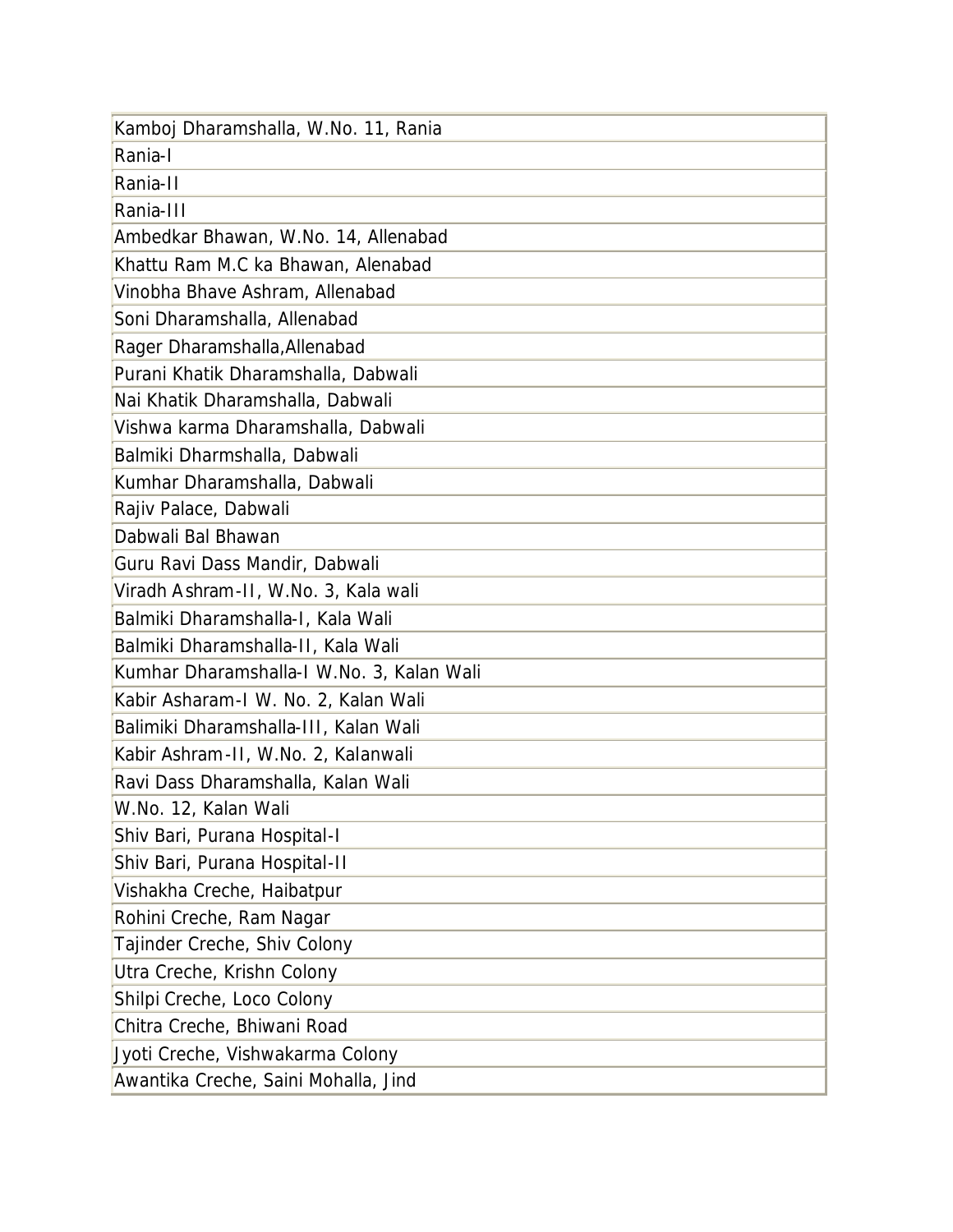| Kamboj Dharamshalla, W.No. 11, Rania      |
|-------------------------------------------|
| Rania-I                                   |
| Rania-II                                  |
| Rania-III                                 |
| Ambedkar Bhawan, W.No. 14, Allenabad      |
| Khattu Ram M.C ka Bhawan, Alenabad        |
| Vinobha Bhave Ashram, Allenabad           |
| Soni Dharamshalla, Allenabad              |
| Rager Dharamshalla, Allenabad             |
| Purani Khatik Dharamshalla, Dabwali       |
| Nai Khatik Dharamshalla, Dabwali          |
| Vishwa karma Dharamshalla, Dabwali        |
| Balmiki Dharmshalla, Dabwali              |
| Kumhar Dharamshalla, Dabwali              |
| Rajiv Palace, Dabwali                     |
| Dabwali Bal Bhawan                        |
| Guru Ravi Dass Mandir, Dabwali            |
| Viradh Ashram-II, W.No. 3, Kala wali      |
| Balmiki Dharamshalla-I, Kala Wali         |
| Balmiki Dharamshalla-II, Kala Wali        |
| Kumhar Dharamshalla-I W.No. 3, Kalan Wali |
| Kabir Asharam-I W. No. 2, Kalan Wali      |
| Balimiki Dharamshalla-III, Kalan Wali     |
| Kabir Ashram-II, W.No. 2, Kalanwali       |
| Ravi Dass Dharamshalla, Kalan Wali        |
| W.No. 12, Kalan Wali                      |
| Shiv Bari, Purana Hospital-I              |
| Shiv Bari, Purana Hospital-II             |
| Vishakha Creche, Haibatpur                |
| Rohini Creche, Ram Nagar                  |
| Tajinder Creche, Shiv Colony              |
| Utra Creche, Krishn Colony                |
| Shilpi Creche, Loco Colony                |
| Chitra Creche, Bhiwani Road               |
| Jyoti Creche, Vishwakarma Colony          |
| Awantika Creche, Saini Mohalla, Jind      |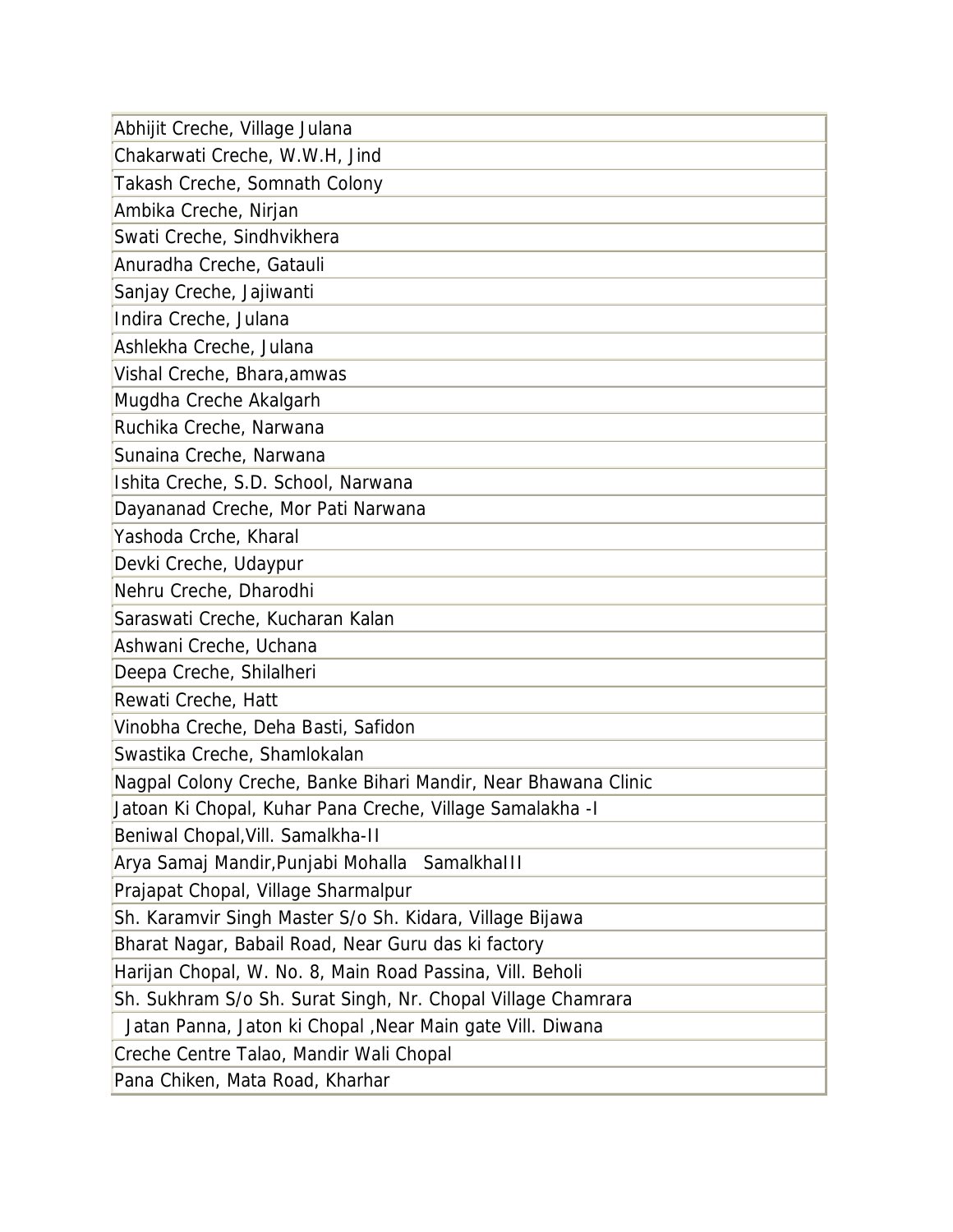| Abhijit Creche, Village Julana                                 |
|----------------------------------------------------------------|
| Chakarwati Creche, W.W.H, Jind                                 |
| Takash Creche, Somnath Colony                                  |
| Ambika Creche, Nirjan                                          |
| Swati Creche, Sindhvikhera                                     |
| Anuradha Creche, Gatauli                                       |
| Sanjay Creche, Jajiwanti                                       |
| Indira Creche, Julana                                          |
| Ashlekha Creche, Julana                                        |
| Vishal Creche, Bhara, amwas                                    |
| Mugdha Creche Akalgarh                                         |
| Ruchika Creche, Narwana                                        |
| Sunaina Creche, Narwana                                        |
| Ishita Creche, S.D. School, Narwana                            |
| Dayananad Creche, Mor Pati Narwana                             |
| Yashoda Crche, Kharal                                          |
| Devki Creche, Udaypur                                          |
| Nehru Creche, Dharodhi                                         |
| Saraswati Creche, Kucharan Kalan                               |
| Ashwani Creche, Uchana                                         |
| Deepa Creche, Shilalheri                                       |
| Rewati Creche, Hatt                                            |
| Vinobha Creche, Deha Basti, Safidon                            |
| Swastika Creche, Shamlokalan                                   |
| Nagpal Colony Creche, Banke Bihari Mandir, Near Bhawana Clinic |
| Jatoan Ki Chopal, Kuhar Pana Creche, Village Samalakha - I     |
| Beniwal Chopal, Vill. Samalkha-II                              |
| Arya Samaj Mandir, Punjabi Mohalla Samalkhalll                 |
| Prajapat Chopal, Village Sharmalpur                            |
| Sh. Karamvir Singh Master S/o Sh. Kidara, Village Bijawa       |
| Bharat Nagar, Babail Road, Near Guru das ki factory            |
| Harijan Chopal, W. No. 8, Main Road Passina, Vill. Beholi      |
| Sh. Sukhram S/o Sh. Surat Singh, Nr. Chopal Village Chamrara   |
| Jatan Panna, Jaton ki Chopal, Near Main gate Vill. Diwana      |
| Creche Centre Talao, Mandir Wali Chopal                        |
| Pana Chiken, Mata Road, Kharhar                                |